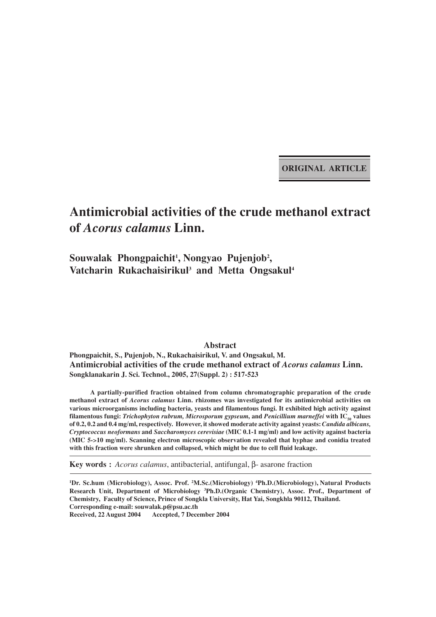**ORIGINAL ARTICLE**

# **Antimicrobial activities of the crude methanol extract of** *Acorus calamus* **Linn.**

## Souwalak Phongpaichit<sup>1</sup>, Nongyao Pujenjob<sup>2</sup>, Vatcharin Rukachaisirikul<sup>3</sup> and Metta Ongsakul<sup>4</sup>

**Abstract**

**Phongpaichit, S., Pujenjob, N., Rukachaisirikul, V. and Ongsakul, M. Antimicrobial activities of the crude methanol extract of** *Acorus calamus* **Linn. Songklanakarin J. Sci. Technol., 2005, 27(Suppl. 2) : 517-523**

**A partially-purified fraction obtained from column chromatographic preparation of the crude methanol extract of** *Acorus calamus* **Linn. rhizomes was investigated for its antimicrobial activities on various microorganisms including bacteria, yeasts and filamentous fungi. It exhibited high activity against** filamentous fungi: *Trichophyton rubrum, Microsporum gypseum,* and *Penicillium marneffei* with IC<sub>50</sub> values **of 0.2, 0.2 and 0.4 mg/ml, respectively. However, it showed moderate activity against yeasts:** *Candida albicans, Cryptococcus neoformans* **and** *Saccharomyces cerevisiae* **(MIC 0.1-1 mg/ml) and low activity against bacteria (MIC 5->10 mg/ml). Scanning electron microscopic observation revealed that hyphae and conidia treated with this fraction were shrunken and collapsed, which might be due to cell fluid leakage.**

**Key words :** *Acorus calamus*, antibacterial, antifungal, β- asarone fraction

**1 Dr. Sc.hum (Microbiology), Assoc. Prof. 2 M.Sc.(Microbiology) 4 Ph.D.(Microbiology), Natural Products Research Unit, Department of Microbiology 3 Ph.D.(Organic Chemistry), Assoc. Prof., Department of Chemistry, Faculty of Science, Prince of Songkla University, Hat Yai, Songkhla 90112, Thailand. Corresponding e-mail: souwalak.p@psu.ac.th Received, 22 August 2004 Accepted, 7 December 2004**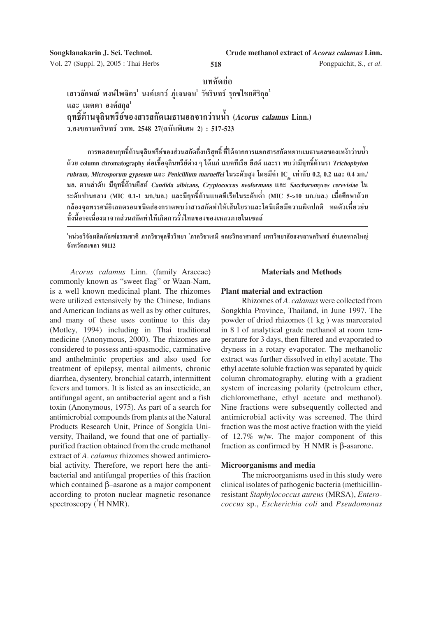Pongpaichit, S., *et al.*

### **∫∑§—¥¬àÕ**

เสาวลักษณ์ พงษ์ใพจิตร<sup>ı</sup> นงค์เยาว์ ภู่เจนจบ<sup>เ</sup> วัชรินทร์ รุกขไชยศิริกุล<sup>2</sup> **และ เมตตา องค์สกุล**<sup>1</sup> **ƒ∑∏'ϵâ"π®ÿ≈'π∑√'¬å¢Õß "√ °—¥‡¡∏"πÕ≈®"°«à"ππÈ" (Acorus calamus Linn.)** ึว.สงขลานครินทร์ วทท. 2548 27(ฉบับพิเศษ 2) : 517-523

ึ การทดสอบฤทธิ์ต้านจลินทรีย์ของส่วนสกัดกึ่งบริสทธิ์ ที่ได้จากการแยกสารสกัดหยาบเมธานอลของเหง้าว่านน้ำ **¥â«¬ column chromatography µàÕ‡™◊ÈÕ®ÿ≈'π∑√'¬åµà"ßÊ ‰¥â·°à ·∫§∑'‡√'¬ ¬' µå ·≈–√" æ∫«à"¡'ƒ∑∏'ϵâ"π√"Trichophyton** *rubrum, Microsporum gypseum* และ *Penicillium marneffei* ในระดับสูง โดยมีค่า IC <sub>so</sub> เท่ากับ 0.2, 0.2 และ 0.4 มก./ **¡≈. µ"¡≈"¥—∫ ¡'ƒ∑∏'ϵâ"π¬' µå Candida albicans, Cryptococcus neoformans ·≈– Saccharomyces cerevisiae "π** ระดับปานกลาง (MIC 0.1-1 มก./มล.) และมีฤทธิ์ต้านแบคทีเรียในระดับต่ำ (MIC 5->10 มก./มล.) เมื่อศึกษาด้วย ึกล้องจลทรรศน์อิเลกตรอนชนิดส่องกราดพบว่าสารสกัดทำให้เส้นใยราและโคนิเดียมีความผิดปกติ หดตัวเหี่ยวย่น ทั้งนี้อาจเนื่องมาจากส่วนสกัดทำให้เกิดการรั่วไหลของของเหลวภายในเซลล์

<sup>1</sup>หน่วยวิจัยผลิตภัณฑ์ธรรมชาติ ภาควิชาจุลชีววิทยา <sup>2</sup>ภาควิชาเคมี คณะวิทยาศาสตร์ มหาวิทยาลัยสงขลานครินทร์ อำเภอหาดใหญ่ จังหวัดสงข**ถา** 90112

*Acorus calamus* Linn. (family Araceae) commonly known as "sweet flag" or Waan-Nam, is a well known medicinal plant. The rhizomes were utilized extensively by the Chinese, Indians and American Indians as well as by other cultures, and many of these uses continue to this day (Motley, 1994) including in Thai traditional medicine (Anonymous, 2000). The rhizomes are considered to possess anti-spasmodic, carminative and anthelmintic properties and also used for treatment of epilepsy, mental ailments, chronic diarrhea, dysentery, bronchial catarrh, intermittent fevers and tumors. It is listed as an insecticide, an antifungal agent, an antibacterial agent and a fish toxin (Anonymous, 1975). As part of a search for antimicrobial compounds from plants at the Natural Products Research Unit, Prince of Songkla University, Thailand, we found that one of partiallypurified fraction obtained from the crude methanol extract of *A. calamus* rhizomes showed antimicrobial activity. Therefore, we report here the antibacterial and antifungal properties of this fraction which contained β–asarone as a major component according to proton nuclear magnetic resonance spectroscopy  $({}^{1}H NMR)$ .

### **Materials and Methods**

### **Plant material and extraction**

Rhizomes of *A. calamus* were collected from Songkhla Province, Thailand, in June 1997. The powder of dried rhizomes (1 kg ) was marcerated in 8 l of analytical grade methanol at room temperature for 3 days, then filtered and evaporated to dryness in a rotary evaporator. The methanolic extract was further dissolved in ethyl acetate. The ethyl acetate soluble fraction was separated by quick column chromatography, eluting with a gradient system of increasing polarity (petroleum ether, dichloromethane, ethyl acetate and methanol). Nine fractions were subsequently collected and antimicrobial activity was screened. The third fraction was the most active fraction with the yield of 12.7% w/w. The major component of this fraction as confirmed by  $H NMR$  is β-asarone.

### **Microorganisms and media**

The microorganisms used in this study were clinical isolates of pathogenic bacteria (methicillinresistant *Staphylococcus aureus* (MRSA), *Enterococcus* sp., *Escherichia coli* and *Pseudomonas*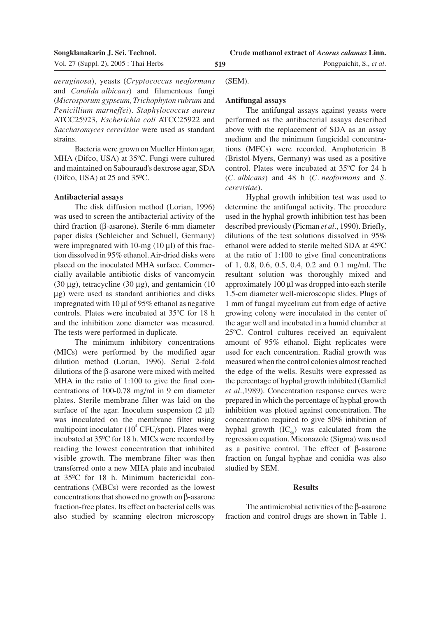*aeruginosa*), yeasts (*Cryptococcus neoformans* and *Candida albicans*) and filamentous fungi (*Microsporum gypseum, Trichophyton rubrum* and *Penicillium marneffei*). *Staphylococcus aureus* ATCC25923, *Escherichia coli* ATCC25922 and *Saccharomyces cerevisiae* were used as standard strains.

Bacteria were grown on Mueller Hinton agar, MHA (Difco, USA) at 35ºC. Fungi were cultured and maintained on Sabouraud's dextrose agar, SDA (Difco, USA) at 25 and 35ºC.

### **Antibacterial assays**

The disk diffusion method (Lorian, 1996) was used to screen the antibacterial activity of the third fraction (β-asarone). Sterile 6-mm diameter paper disks (Schleicher and Schuell, Germany) were impregnated with 10-mg  $(10 \mu l)$  of this fraction dissolved in 95% ethanol. Air-dried disks were placed on the inoculated MHA surface. Commercially available antibiotic disks of vancomycin (30  $\mu$ g), tetracycline (30  $\mu$ g), and gentamicin (10 µg) were used as standard antibiotics and disks impregnated with 10  $\mu$ l of 95% ethanol as negative controls. Plates were incubated at 35ºC for 18 h and the inhibition zone diameter was measured. The tests were performed in duplicate.

The minimum inhibitory concentrations (MICs) were performed by the modified agar dilution method (Lorian, 1996). Serial 2-fold dilutions of the β-asarone were mixed with melted MHA in the ratio of 1:100 to give the final concentrations of 100-0.78 mg/ml in 9 cm diameter plates. Sterile membrane filter was laid on the surface of the agar. Inoculum suspension  $(2 \mu l)$ was inoculated on the membrane filter using multipoint inoculator  $(10^4 \text{ CFU/spot})$ . Plates were incubated at 35ºC for 18 h. MICs were recorded by reading the lowest concentration that inhibited visible growth. The membrane filter was then transferred onto a new MHA plate and incubated at 35ºC for 18 h. Minimum bactericidal concentrations (MBCs) were recorded as the lowest concentrations that showed no growth on β-asarone fraction-free plates. Its effect on bacterial cells was also studied by scanning electron microscopy

(SEM).

### **Antifungal assays**

The antifungal assays against yeasts were performed as the antibacterial assays described above with the replacement of SDA as an assay medium and the minimum fungicidal concentrations (MFCs) were recorded. Amphotericin B (Bristol-Myers, Germany) was used as a positive control. Plates were incubated at 35ºC for 24 h (*C. albicans*) and 48 h (*C. neoformans* and *S. cerevisiae*).

**Crude methanol extract of** *Acorus calamus* **Linn.**

Hyphal growth inhibition test was used to determine the antifungal activity. The procedure used in the hyphal growth inhibition test has been described previously (Picman *et al*., 1990). Briefly, dilutions of the test solutions dissolved in 95% ethanol were added to sterile melted SDA at 45ºC at the ratio of 1:100 to give final concentrations of 1, 0.8, 0.6, 0.5, 0.4, 0.2 and 0.1 mg/ml. The resultant solution was thoroughly mixed and approximately 100 µl was dropped into each sterile 1.5-cm diameter well-microscopic slides. Plugs of 1 mm of fungal mycelium cut from edge of active growing colony were inoculated in the center of the agar well and incubated in a humid chamber at 25ºC. Control cultures received an equivalent amount of 95% ethanol. Eight replicates were used for each concentration. Radial growth was measured when the control colonies almost reached the edge of the wells. Results were expressed as the percentage of hyphal growth inhibited (Gamliel *et al*.,1989). Concentration response curves were prepared in which the percentage of hyphal growth inhibition was plotted against concentration. The concentration required to give 50% inhibition of hyphal growth  $(IC_{\epsilon_0})$  was calculated from the regression equation. Miconazole (Sigma) was used as a positive control. The effect of β-asarone fraction on fungal hyphae and conidia was also studied by SEM.

### **Results**

The antimicrobial activities of the β-asarone fraction and control drugs are shown in Table 1.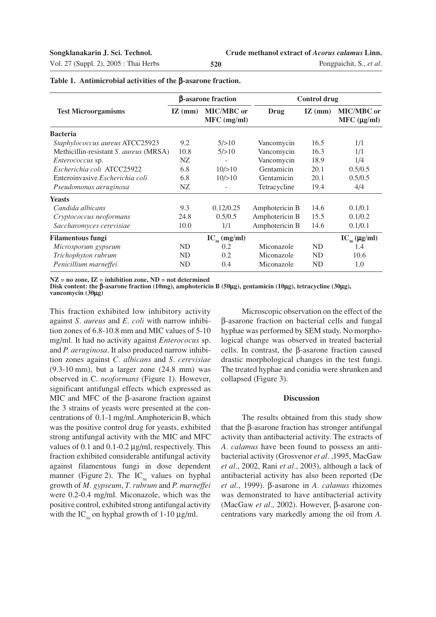Vol. 27 (Suppl. 2), 2005 : Thai Herbs **520**

Pongpaichit, S., *et al.*

| <b>Test Microorgamisms</b>                    | <b>B-asarone fraction</b> |                                  | <b>Control drug</b> |                    |                                  |
|-----------------------------------------------|---------------------------|----------------------------------|---------------------|--------------------|----------------------------------|
|                                               | $\mathbf{IZ}$ (mm)        | <b>MIC/MBC</b> or<br>MFC (mg/ml) | Drug                | $\mathbf{IZ}$ (mm) | <b>MIC/MBC</b> or<br>MFC (µg/ml) |
| <b>Bacteria</b>                               |                           |                                  |                     |                    |                                  |
| Staphylococcus aureus ATCC25923               | 9.2                       | 5/>10                            | Vancomycin          | 16.5               | 1/1                              |
| Methicillin-resistant <i>S. aureus</i> (MRSA) | 10.8                      | 5/>10                            | Vancomycin          | 16.3               | 1/1                              |
| <i>Enterococcus</i> sp.                       | NZ                        |                                  | Vancomycin          | 18.9               | 1/4                              |
| Escherichia coli ATCC25922                    | 6.8                       | 10/>10                           | Gentamicin          | 20.1               | 0.5/0.5                          |
| Enteroinvasive Escherichia coli               | 6.8                       | 10/>10                           | Gentamicin          | 20.1               | 0.5/0.5                          |
| Pseudomonas aeruginosa                        | NZ.                       |                                  | Tetracycline        | 19.4               | 4/4                              |
| <b>Yeasts</b>                                 |                           |                                  |                     |                    |                                  |
| Candida albicans                              | 9.3                       | 0.12/0.25                        | Amphotericin B      | 14.6               | 0.1/0.1                          |
| Cryptococcus neoformans                       | 24.8                      | 0.5/0.5                          | Amphotericin B      | 15.5               | 0.1/0.2                          |
| Saccharomyces cerevisiae                      | 10.0                      | 1/1                              | Amphotericin B      | 14.6               | 0.1/0.1                          |
| <b>Filamentous fungi</b>                      |                           | $IC_{\zeta_0}$ (mg/ml)           |                     |                    | $IC_{50} (\mu g/ml)$             |
| Microsporum gypseum                           | N <sub>D</sub>            | 0.2                              | Miconazole          | <b>ND</b>          | 1.4                              |
| Trichophyton rubrum                           | N <sub>D</sub>            | 0.2                              | Miconazole          | <b>ND</b>          | 10.6                             |
| Penicillium marneffei                         | ND                        | 0.4                              | Miconazole          | <b>ND</b>          | 1.0                              |

**Table 1. Antimicrobial activities of the** β**-asarone fraction.**

**NZ = no zone, IZ = inhibition zone, ND = not determined**

**Disk content: the** β**-asarone fraction (10mg), amphotericin B (50**µ**g), gentamicin (10**µ**g), tetracycline (30**µ**g), vancomycin (30**µ**g)**

This fraction exhibited low inhibitory activity against *S. aureus* and *E. coli* with narrow inhibition zones of 6.8-10.8 mm and MIC values of 5-10 mg/ml. It had no activity against *Enterococus* sp. and *P. aeruginosa*. It also produced narrow inhibition zones against *C. albicans* and *S. cerevisiae* (9.3-10 mm), but a larger zone (24.8 mm) was observed in C. *neoformans* (Figure 1). However, significant antifungal effects which expressed as MIC and MFC of the β-asarone fraction against the 3 strains of yeasts were presented at the concentrations of 0.1-1 mg/ml. Amphotericin B, which was the positive control drug for yeasts, exhibited strong antifungal activity with the MIC and MFC values of 0.1 and 0.1-0.2  $\mu$ g/ml, respectively. This fraction exhibited considerable antifungal activity against filamentous fungi in dose dependent manner (Figure 2). The  $IC_{50}$  values on hyphal growth of *M. gypseum*, *T. rubrum* and *P. marneffei* were 0.2-0.4 mg/ml. Miconazole, which was the positive control, exhibited strong antifungal activity with the IC<sub>50</sub> on hyphal growth of 1-10  $\mu$ g/ml.

Microscopic observation on the effect of the β-asarone fraction on bacterial cells and fungal hyphae was performed by SEM study. No morphological change was observed in treated bacterial cells. In contrast, the β-asarone fraction caused drastic morphological changes in the test fungi. The treated hyphae and conidia were shrunken and collapsed (Figure 3).

### **Discussion**

The results obtained from this study show that the β-asarone fraction has stronger antifungal activity than antibacterial activity. The extracts of *A. calamus* have been found to possess an antibacterial activity (Grosvenor *et al*. ,1995, MacGaw *et al*., 2002, Rani *et al*., 2003), although a lack of antibacterial activity has also been reported (De *et al*., 1999). β-asarone in *A. calamus* rhizomes was demonstrated to have antibacterial activity (MacGaw *et al*., 2002). However, β-asarone concentrations vary markedly among the oil from *A.*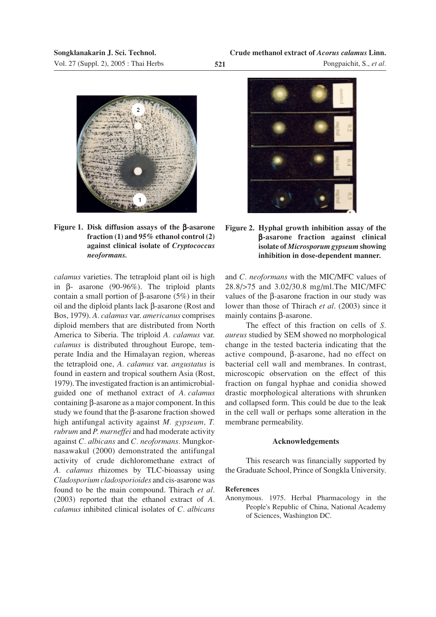



*calamus* varieties. The tetraploid plant oil is high in β- asarone (90-96%). The triploid plants contain a small portion of β-asarone (5%) in their oil and the diploid plants lack β-asarone (Rost and Bos, 1979). *A. calamus* var. *americanus* comprises diploid members that are distributed from North America to Siberia. The triploid *A. calamus* var. *calamus* is distributed throughout Europe, temperate India and the Himalayan region, whereas the tetraploid one, *A. calamus* var. *angustatus* is found in eastern and tropical southern Asia (Rost, 1979). The investigated fraction is an antimicrobialguided one of methanol extract of *A. calamus* containing β-asarone as a major component. In this study we found that the β-asarone fraction showed high antifungal activity against *M. gypseum, T. rubrum* and *P. marneffei* and had moderate activity against *C. albicans* and *C. neoformans.* Mungkornasawakul (2000) demonstrated the antifungal activity of crude dichloromethane extract of *A. calamus* rhizomes by TLC-bioassay using *Cladosporium cladosporioides* and cis-asarone was found to be the main compound. Thirach *et al*. (2003) reported that the ethanol extract of *A. calamus* inhibited clinical isolates of *C. albicans*





and *C. neoformans* with the MIC/MFC values of 28.8/>75 and 3.02/30.8 mg/ml.The MIC/MFC values of the β-asarone fraction in our study was lower than those of Thirach *et al*. (2003) since it mainly contains β-asarone.

The effect of this fraction on cells of *S. aureus* studied by SEM showed no morphological change in the tested bacteria indicating that the active compound, β-asarone, had no effect on bacterial cell wall and membranes. In contrast, microscopic observation on the effect of this fraction on fungal hyphae and conidia showed drastic morphological alterations with shrunken and collapsed form. This could be due to the leak in the cell wall or perhaps some alteration in the membrane permeability.

### **Acknowledgements**

This research was financially supported by the Graduate School, Prince of Songkla University.

### **References**

Anonymous. 1975. Herbal Pharmacology in the People's Republic of China, National Academy of Sciences, Washington DC.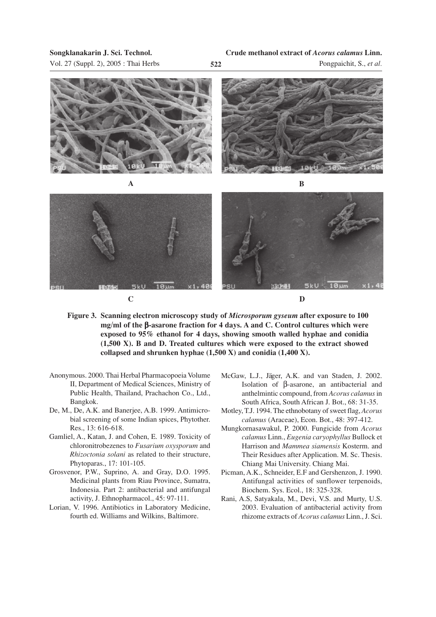Vol. 27 (Suppl. 2), 2005 : Thai Herbs **522**

Pongpaichit, S., *et al.*



- **Figure 3. Scanning electron microscopy study of** *Microsporum gyseum* **after exposure to 100 mg/ml of the** β**-asarone fraction for 4 days. A and C. Control cultures which were exposed to 95% ethanol for 4 days, showing smooth walled hyphae and conidia (1,500 X). B and D. Treated cultures which were exposed to the extract showed collapsed and shrunken hyphae (1,500 X) and conidia (1,400 X).**
- Anonymous. 2000. Thai Herbal Pharmacopoeia Volume II, Department of Medical Sciences, Ministry of Public Health, Thailand, Prachachon Co., Ltd., Bangkok.
- De, M., De, A.K. and Banerjee, A.B. 1999. Antimicrobial screening of some Indian spices, Phytother. Res., 13: 616-618.
- Gamliel, A., Katan, J. and Cohen, E. 1989. Toxicity of chloronitrobezenes to *Fusarium oxysporum* and *Rhizoctonia solani* as related to their structure, Phytoparas., 17: 101-105.
- Grosvenor, P.W., Suprino, A. and Gray, D.O. 1995. Medicinal plants from Riau Province, Sumatra, Indonesia. Part 2: antibacterial and antifungal activity, J. Ethnopharmacol., 45: 97-111.
- Lorian, V. 1996. Antibiotics in Laboratory Medicine, fourth ed. Williams and Wilkins, Baltimore.
- McGaw, L.J., Jäger, A.K. and van Staden, J. 2002. Isolation of β-asarone, an antibacterial and anthelmintic compound, from *Acorus calamus* in South Africa, South African J. Bot., 68: 31-35.
- Motley, T.J. 1994. The ethnobotany of sweet flag, *Acorus calamus* (Araceae), Econ. Bot., 48: 397-412.
- Mungkornasawakul, P. 2000. Fungicide from *Acorus calamus* Linn., *Eugenia caryophyllus* Bullock et Harrison and *Mammea siamensis* Kosterm. and Their Residues after Application. M. Sc. Thesis. Chiang Mai University. Chiang Mai.
- Picman, A.K., Schneider, E.F and Gershenzon, J. 1990. Antifungal activities of sunflower terpenoids, Biochem. Sys. Ecol., 18: 325-328.
- Rani, A.S, Satyakala, M., Devi, V.S. and Murty, U.S. 2003. Evaluation of antibacterial activity from rhizome extracts of *Acorus calamus* Linn., J. Sci.